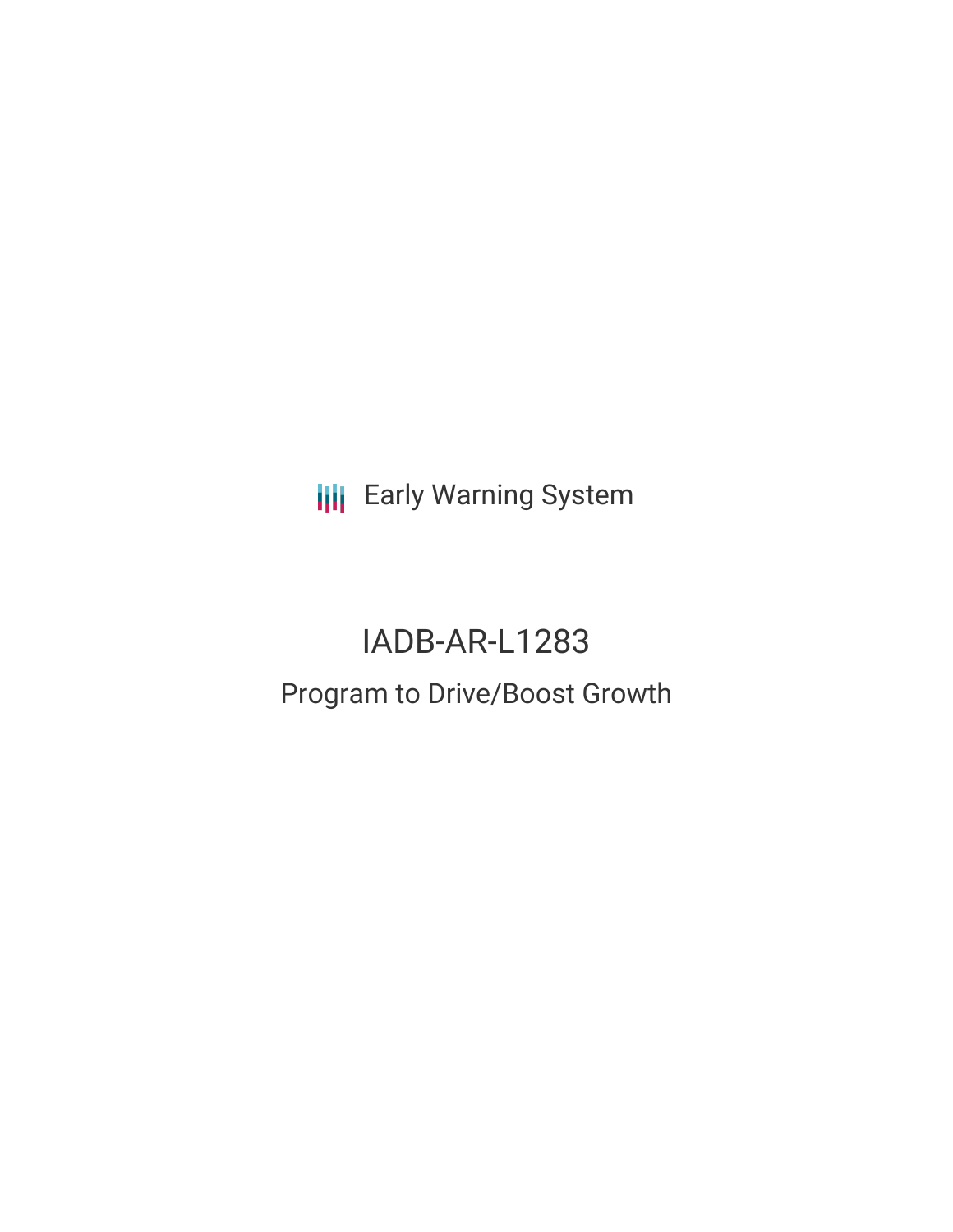**III** Early Warning System

# IADB-AR-L1283 Program to Drive/Boost Growth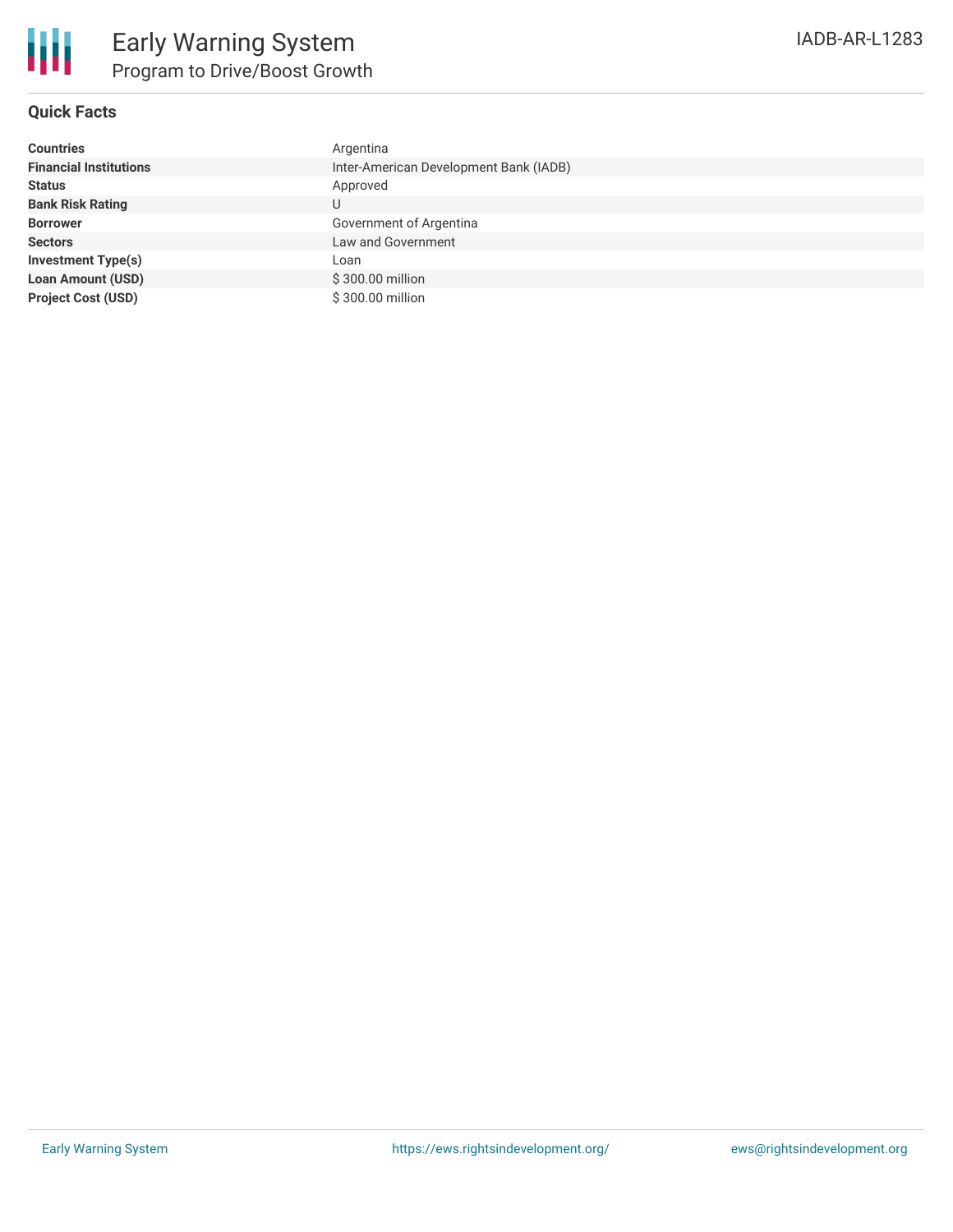

## **Quick Facts**

| <b>Countries</b>              | Argentina                              |
|-------------------------------|----------------------------------------|
| <b>Financial Institutions</b> | Inter-American Development Bank (IADB) |
| <b>Status</b>                 | Approved                               |
| <b>Bank Risk Rating</b>       | U                                      |
| <b>Borrower</b>               | Government of Argentina                |
| <b>Sectors</b>                | Law and Government                     |
| <b>Investment Type(s)</b>     | Loan                                   |
| <b>Loan Amount (USD)</b>      | \$300.00 million                       |
| <b>Project Cost (USD)</b>     | \$300.00 million                       |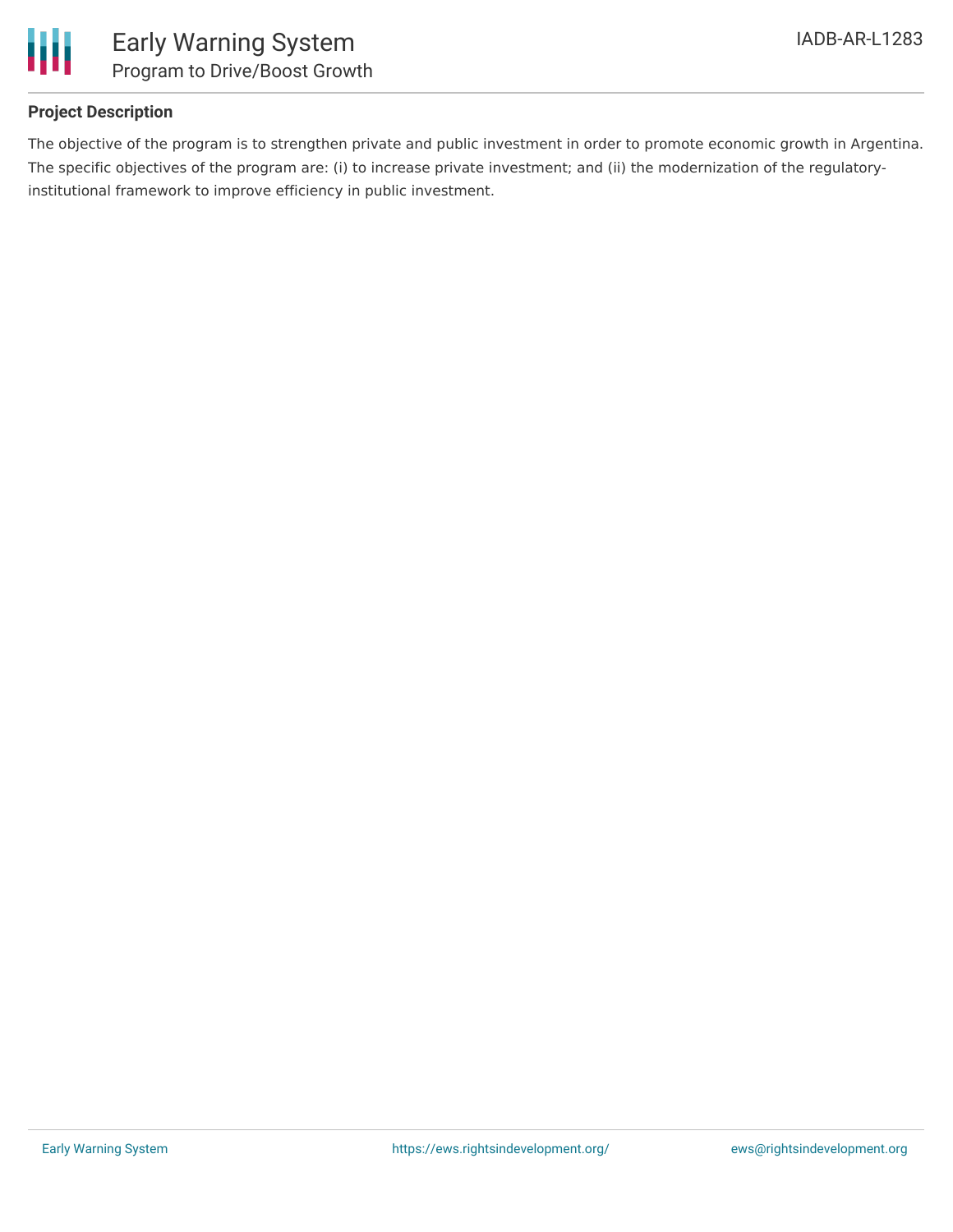

## **Project Description**

The objective of the program is to strengthen private and public investment in order to promote economic growth in Argentina. The specific objectives of the program are: (i) to increase private investment; and (ii) the modernization of the regulatoryinstitutional framework to improve efficiency in public investment.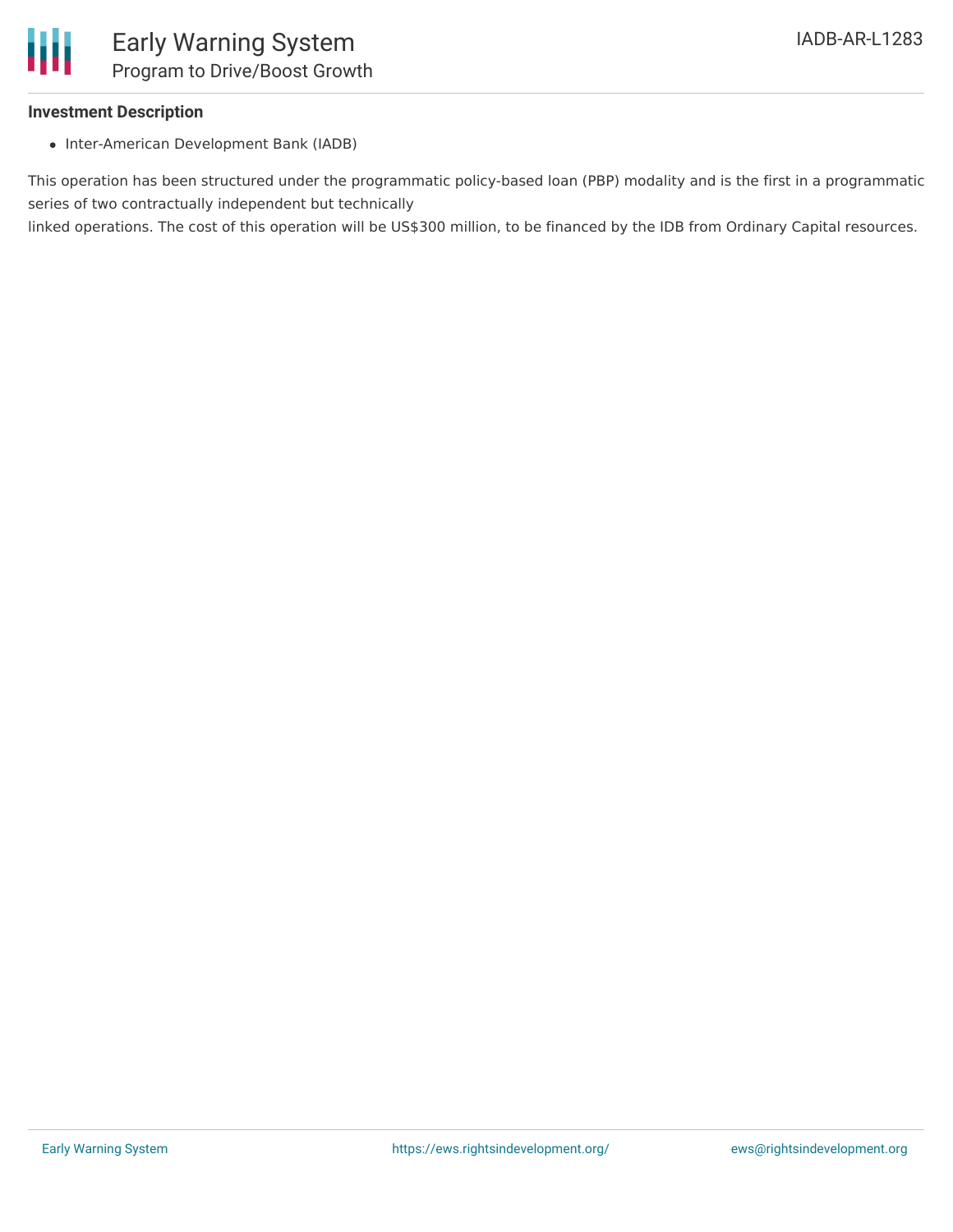

#### **Investment Description**

• Inter-American Development Bank (IADB)

This operation has been structured under the programmatic policy-based loan (PBP) modality and is the first in a programmatic series of two contractually independent but technically

linked operations. The cost of this operation will be US\$300 million, to be financed by the IDB from Ordinary Capital resources.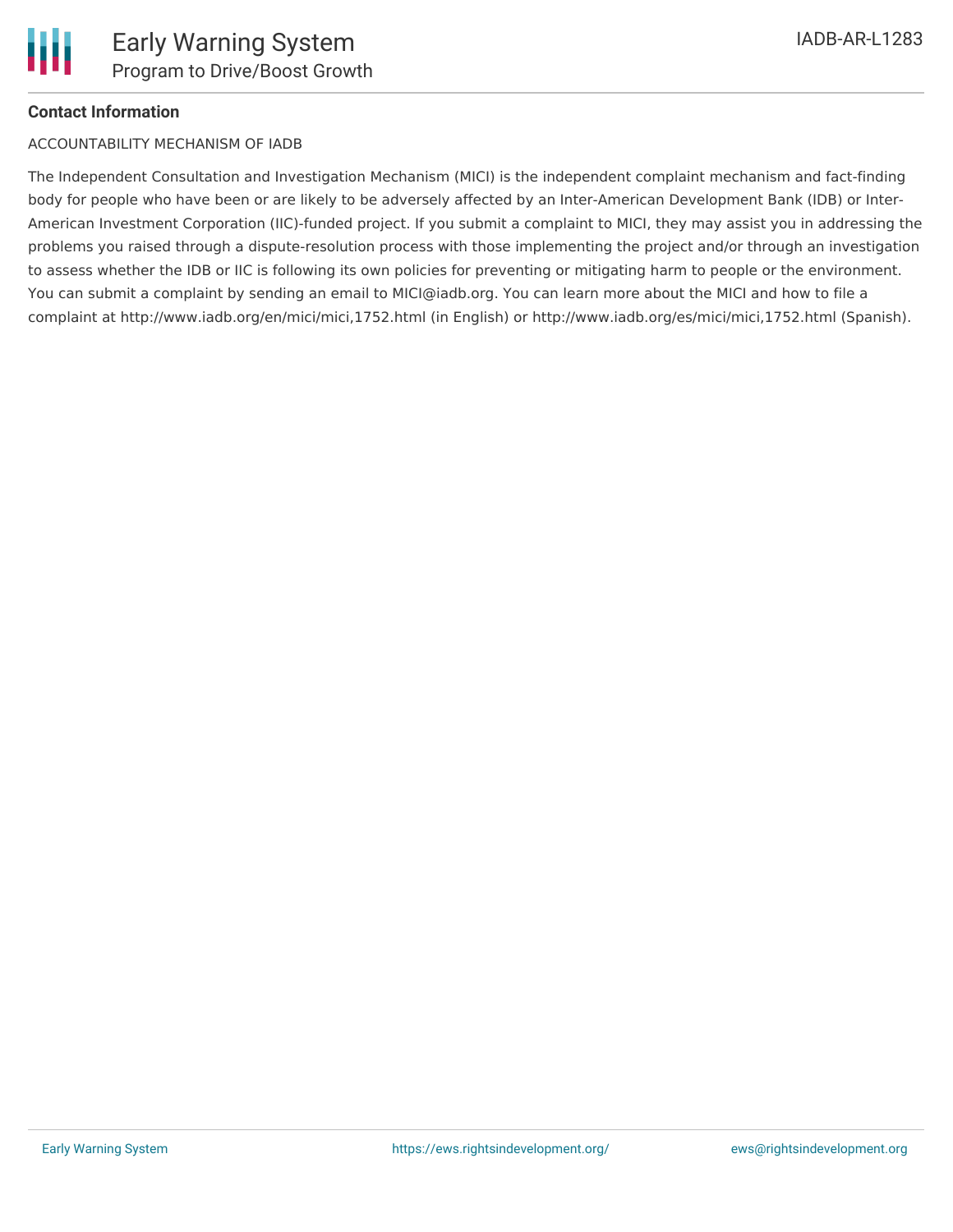### **Contact Information**

#### ACCOUNTABILITY MECHANISM OF IADB

The Independent Consultation and Investigation Mechanism (MICI) is the independent complaint mechanism and fact-finding body for people who have been or are likely to be adversely affected by an Inter-American Development Bank (IDB) or Inter-American Investment Corporation (IIC)-funded project. If you submit a complaint to MICI, they may assist you in addressing the problems you raised through a dispute-resolution process with those implementing the project and/or through an investigation to assess whether the IDB or IIC is following its own policies for preventing or mitigating harm to people or the environment. You can submit a complaint by sending an email to MICI@iadb.org. You can learn more about the MICI and how to file a complaint at http://www.iadb.org/en/mici/mici,1752.html (in English) or http://www.iadb.org/es/mici/mici,1752.html (Spanish).